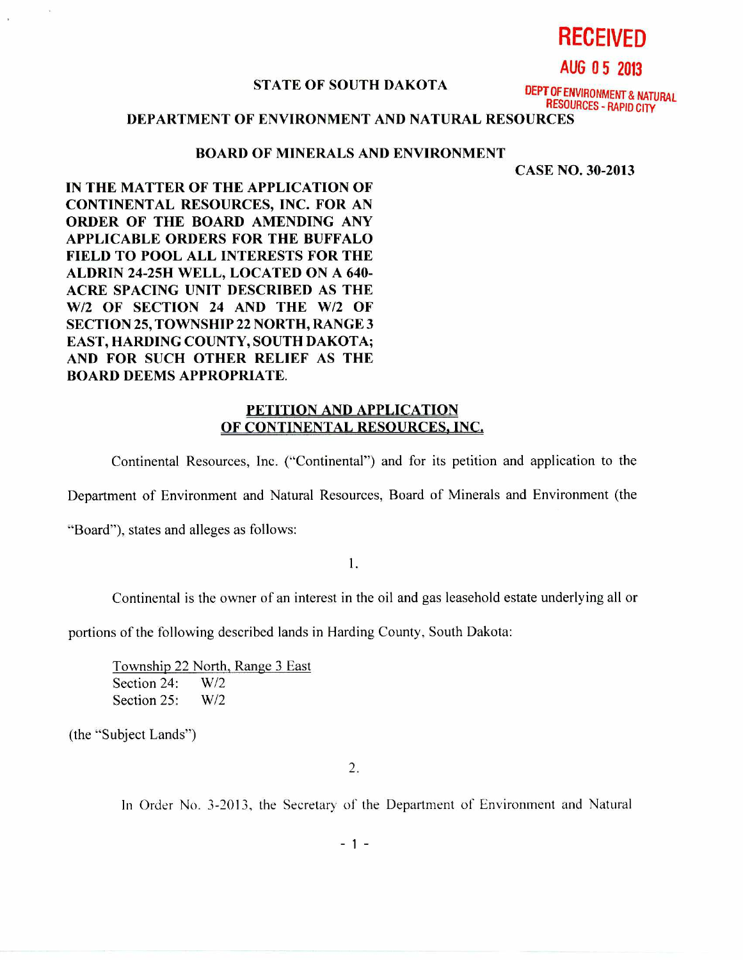**RECEIVED** 

**AUG 0 5 2013** 

### **STATE OF SOUTH DAKOTA**

**DEPT OF ENVIRONMENT & NATURAL RESOURCES - RAPID CITY** 

## **DEPARTMENT OF ENVIRONMENT AND NATURAL RESOURCES**

#### **BOARD OF MINERALS AND ENVIRONMENT**

**CASE NO. 30-2013** 

**IN THE MATTER OF THE APPLICATION OF CONTINENTAL RESOURCES, INC. FOR AN ORDER OF THE BOARD AMENDING ANY APPLICABLE ORDERS FOR THE BUFFALO FIELD TO POOL ALL INTERESTS FOR THE ALDRIN 24-25H WELL, LOCATED ON A 640- ACRE SPACING UNIT DESCRIBED AS THE W/2 OF SECTION 24 AND THE W/2 OF SECTION 25, TOWNSHIP 22 NORTH, RANGE 3 EAST, HARDING COUNTY, SOUTH DAKOTA; AND FOR SUCH OTHER RELIEF AS THE BOARD DEEMS APPROPRIATE.** 

## **PETITION AND APPLICATION OF CONTINENTAL RESOURCES, INC.**

Continental Resources, Inc. ("Continental") and for its petition and application to the

Department of Environment and Natural Resources, Board of Minerals and Environment (the

"Board"), states and alleges as follows:

 $\overline{1}$ .

Continental is the owner of an interest in the oil and gas leasehold estate underlying all or

portions of the following described lands in Harding County, South Dakota:

Township 22 North, Range 3 East Section 24: W/2 Section 25: W/2

(the "Subject Lands")

2.

In Order No. 3-2013, the Secretary of the Department of Environment and Natural

- 1 -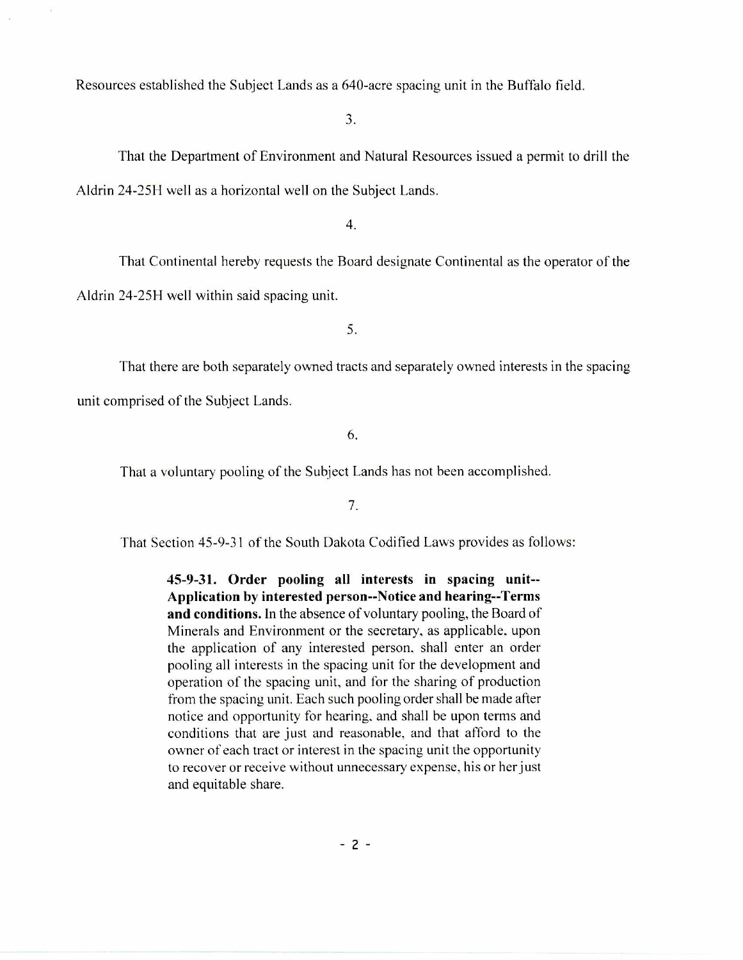Resources established the Subject Lands as a 640-acre spacing unit in the Buffalo field.

3.

That the Department of Environment and Natural Resources issued a permit to drill the Aldrin 24-25H well as a horizontal well on the Subject Lands.

4.

That Continental hereby requests the Board designate Continental as the operator of' the

Aldrin 24-25H well within said spacing unit.

5.

That there are both separately owned tracts and separately owned interests in the spacing unit comprised of the Subject Lands.

6.

That a voluntary pooling of the Subject Lands has not been accomplished.

7.

That Section 45-9-31 of the South Dakota Codified Laws provides as follows:

**45-9-31. Order pooling all interests in spacing unit-- Application by interested person--Notice and hearing--Terms and conditions.** In the absence of voluntary pooling, the Board of Minerals and Environment or the secretary, as applicable, upon the application of any interested person. shall enter an order pooling all interests in the spacing unit for the development and operation of the spacing unit, and for the sharing of production from the spacing unit. Each such pooling order shall be made after notice and opportunity for hearing, and shall be upon terms and conditions that are just and reasonable, and that afford to the owner of each tract or interest in the spacing unit the opportunity to recover or receive without unnecessary expense, his or her just and equitable share.

 $-2 -$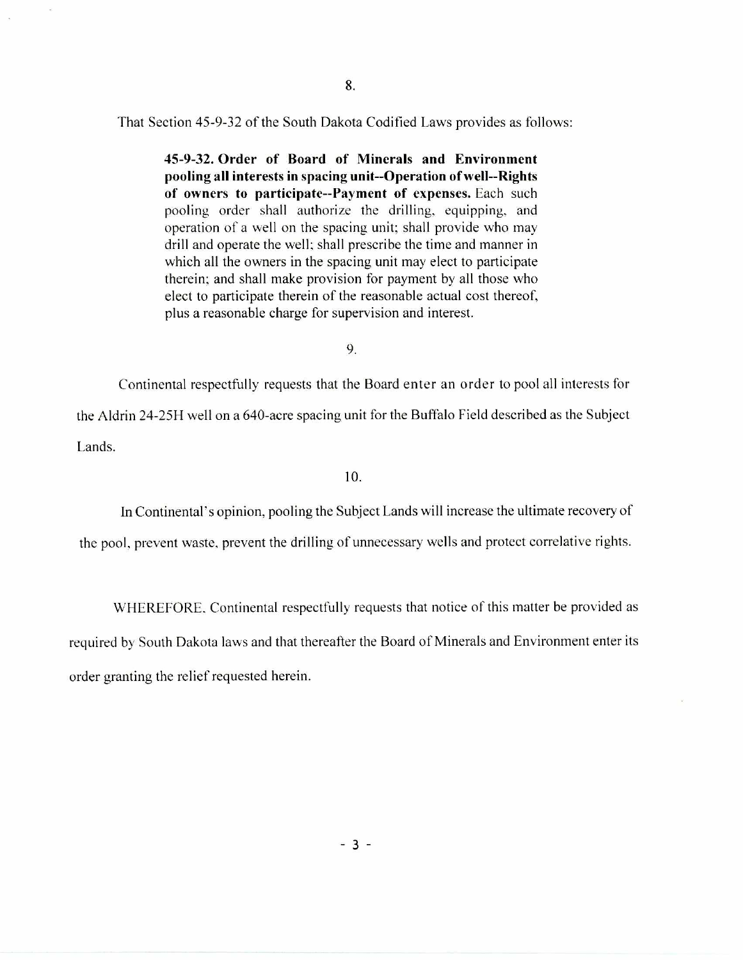That Section 45-9-32 of the South Dakota Codified Laws provides as follows:

**45-9-32. Order of Board of Minerals and Environment pooling all interests in spacing unit--Operation of well--Rights of owners to participate--Payment of expenses.** Each such pooling order shall authorize the drilling, equipping, and operation of a well on the spacing unit; shall provide who may drill and operate the well; shall prescribe the time and manner in which all the owners in the spacing unit may elect to participate therein; and shall make provision for payment by all those who elect to participate therein of the reasonable actual cost thereof, plus a reasonable charge for supervision and interest.

9.

Continental respectfully requests that the Board enter an order to pool all interests for the Aldrin 24-25H well on a 640-acre spacing unit for the Buffalo Field described as the Subject Lands.

10.

In Continental's opinion, pooling the Subject Lands will increase the ultimate recovery of the pool, prevent waste, prevent the drilling of unnecessary wells and protect correlative rights.

WHEREFORE, Continental respectfully requests that notice of this matter be provided as

required by South Dakota laws and that thereafter the Board of Minerals and Environment enter its order granting the relief requested herein.